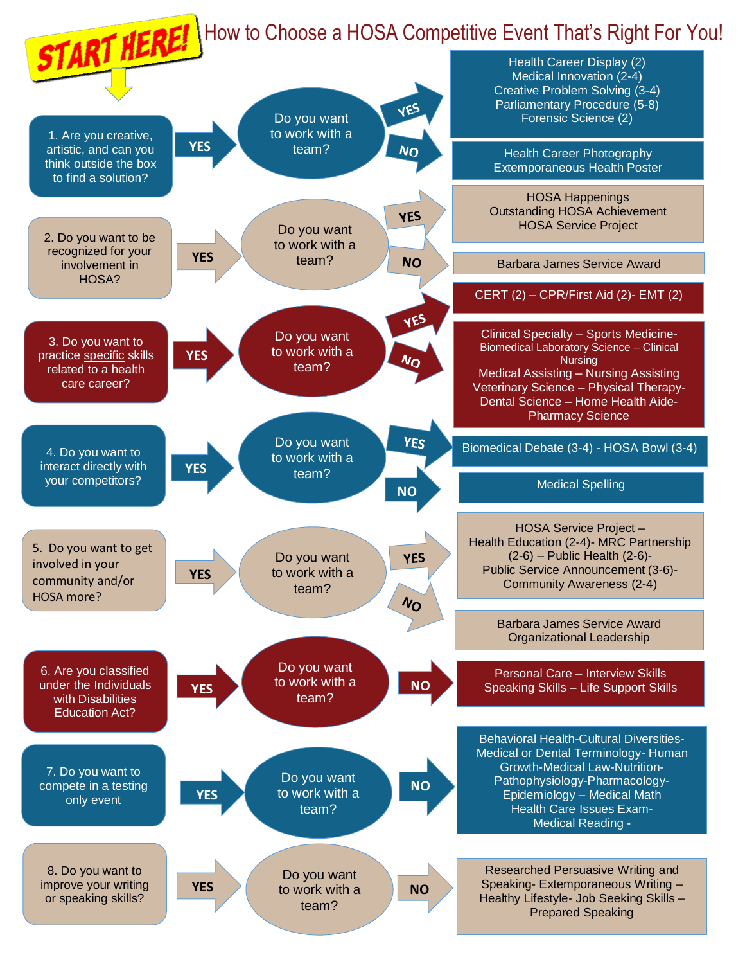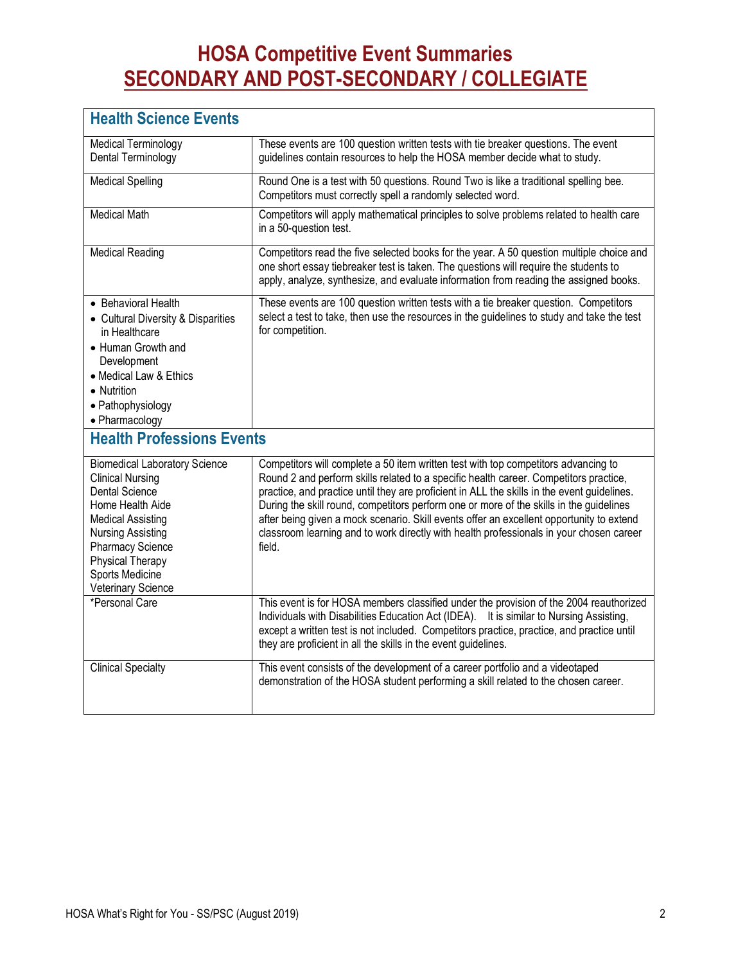## **HOSA Competitive Event Summaries SECONDARY AND POST-SECONDARY / COLLEGIATE**

| <b>Health Science Events</b>                                                                                                                                                                                                                          |                                                                                                                                                                                                                                                                                                                                                                                                                                                                                                                                                                        |  |
|-------------------------------------------------------------------------------------------------------------------------------------------------------------------------------------------------------------------------------------------------------|------------------------------------------------------------------------------------------------------------------------------------------------------------------------------------------------------------------------------------------------------------------------------------------------------------------------------------------------------------------------------------------------------------------------------------------------------------------------------------------------------------------------------------------------------------------------|--|
| <b>Medical Terminology</b><br>Dental Terminology                                                                                                                                                                                                      | These events are 100 question written tests with tie breaker questions. The event<br>guidelines contain resources to help the HOSA member decide what to study.                                                                                                                                                                                                                                                                                                                                                                                                        |  |
| <b>Medical Spelling</b>                                                                                                                                                                                                                               | Round One is a test with 50 questions. Round Two is like a traditional spelling bee.<br>Competitors must correctly spell a randomly selected word.                                                                                                                                                                                                                                                                                                                                                                                                                     |  |
| <b>Medical Math</b>                                                                                                                                                                                                                                   | Competitors will apply mathematical principles to solve problems related to health care<br>in a 50-question test.                                                                                                                                                                                                                                                                                                                                                                                                                                                      |  |
| <b>Medical Reading</b>                                                                                                                                                                                                                                | Competitors read the five selected books for the year. A 50 question multiple choice and<br>one short essay tiebreaker test is taken. The questions will require the students to<br>apply, analyze, synthesize, and evaluate information from reading the assigned books.                                                                                                                                                                                                                                                                                              |  |
| • Behavioral Health<br>• Cultural Diversity & Disparities<br>in Healthcare<br>• Human Growth and<br>Development<br>• Medical Law & Ethics<br>• Nutrition<br>• Pathophysiology<br>• Pharmacology                                                       | These events are 100 question written tests with a tie breaker question. Competitors<br>select a test to take, then use the resources in the guidelines to study and take the test<br>for competition.                                                                                                                                                                                                                                                                                                                                                                 |  |
| <b>Health Professions Events</b>                                                                                                                                                                                                                      |                                                                                                                                                                                                                                                                                                                                                                                                                                                                                                                                                                        |  |
| <b>Biomedical Laboratory Science</b><br><b>Clinical Nursing</b><br><b>Dental Science</b><br>Home Health Aide<br><b>Medical Assisting</b><br><b>Nursing Assisting</b><br>Pharmacy Science<br>Physical Therapy<br>Sports Medicine<br>Veterinary Science | Competitors will complete a 50 item written test with top competitors advancing to<br>Round 2 and perform skills related to a specific health career. Competitors practice,<br>practice, and practice until they are proficient in ALL the skills in the event guidelines.<br>During the skill round, competitors perform one or more of the skills in the guidelines<br>after being given a mock scenario. Skill events offer an excellent opportunity to extend<br>classroom learning and to work directly with health professionals in your chosen career<br>field. |  |
| *Personal Care                                                                                                                                                                                                                                        | This event is for HOSA members classified under the provision of the 2004 reauthorized<br>Individuals with Disabilities Education Act (IDEA). It is similar to Nursing Assisting,<br>except a written test is not included. Competitors practice, practice, and practice until<br>they are proficient in all the skills in the event guidelines.                                                                                                                                                                                                                       |  |
| <b>Clinical Specialty</b>                                                                                                                                                                                                                             | This event consists of the development of a career portfolio and a videotaped<br>demonstration of the HOSA student performing a skill related to the chosen career.                                                                                                                                                                                                                                                                                                                                                                                                    |  |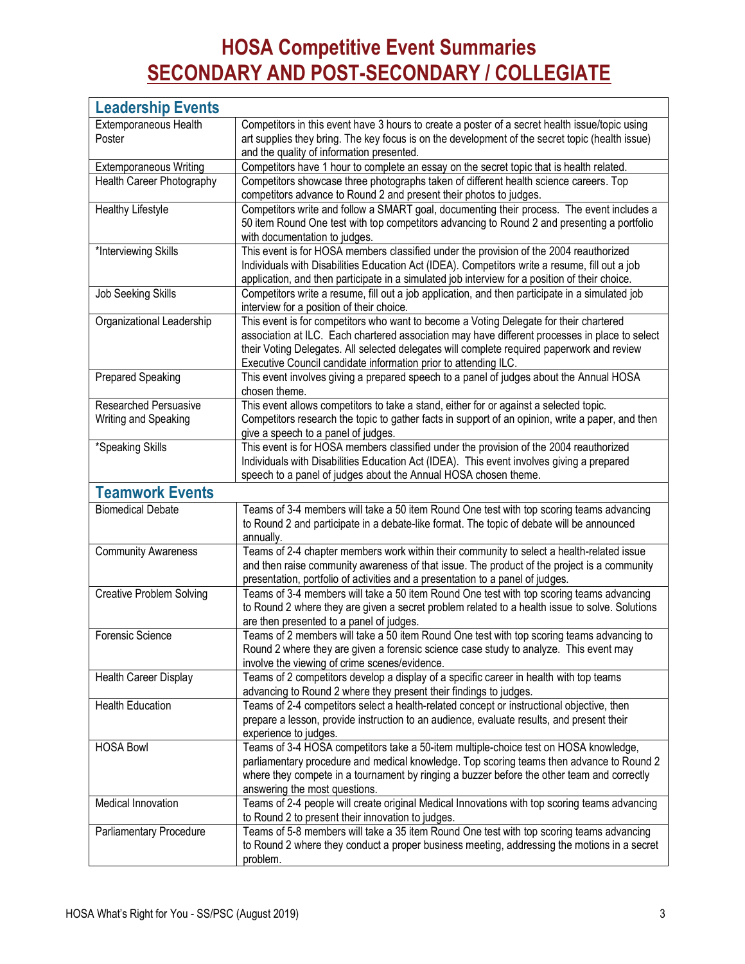## **HOSA Competitive Event Summaries SECONDARY AND POST-SECONDARY / COLLEGIATE**

| <b>Leadership Events</b>                                   |                                                                                                                                                                                            |
|------------------------------------------------------------|--------------------------------------------------------------------------------------------------------------------------------------------------------------------------------------------|
| Extemporaneous Health                                      | Competitors in this event have 3 hours to create a poster of a secret health issue/topic using                                                                                             |
| Poster                                                     | art supplies they bring. The key focus is on the development of the secret topic (health issue)                                                                                            |
|                                                            | and the quality of information presented.                                                                                                                                                  |
| <b>Extemporaneous Writing</b><br>Health Career Photography | Competitors have 1 hour to complete an essay on the secret topic that is health related.<br>Competitors showcase three photographs taken of different health science careers. Top          |
|                                                            | competitors advance to Round 2 and present their photos to judges.                                                                                                                         |
| <b>Healthy Lifestyle</b>                                   | Competitors write and follow a SMART goal, documenting their process. The event includes a                                                                                                 |
|                                                            | 50 item Round One test with top competitors advancing to Round 2 and presenting a portfolio                                                                                                |
|                                                            | with documentation to judges.<br>This event is for HOSA members classified under the provision of the 2004 reauthorized                                                                    |
| *Interviewing Skills                                       | Individuals with Disabilities Education Act (IDEA). Competitors write a resume, fill out a job                                                                                             |
|                                                            | application, and then participate in a simulated job interview for a position of their choice.                                                                                             |
| Job Seeking Skills                                         | Competitors write a resume, fill out a job application, and then participate in a simulated job                                                                                            |
|                                                            | interview for a position of their choice.                                                                                                                                                  |
| Organizational Leadership                                  | This event is for competitors who want to become a Voting Delegate for their chartered                                                                                                     |
|                                                            | association at ILC. Each chartered association may have different processes in place to select                                                                                             |
|                                                            | their Voting Delegates. All selected delegates will complete required paperwork and review                                                                                                 |
|                                                            | Executive Council candidate information prior to attending ILC.                                                                                                                            |
| Prepared Speaking                                          | This event involves giving a prepared speech to a panel of judges about the Annual HOSA<br>chosen theme.                                                                                   |
| <b>Researched Persuasive</b>                               | This event allows competitors to take a stand, either for or against a selected topic.                                                                                                     |
| Writing and Speaking                                       | Competitors research the topic to gather facts in support of an opinion, write a paper, and then                                                                                           |
|                                                            | give a speech to a panel of judges.                                                                                                                                                        |
| *Speaking Skills                                           | This event is for HOSA members classified under the provision of the 2004 reauthorized                                                                                                     |
|                                                            | Individuals with Disabilities Education Act (IDEA). This event involves giving a prepared<br>speech to a panel of judges about the Annual HOSA chosen theme.                               |
| <b>Teamwork Events</b>                                     |                                                                                                                                                                                            |
| <b>Biomedical Debate</b>                                   | Teams of 3-4 members will take a 50 item Round One test with top scoring teams advancing                                                                                                   |
|                                                            | to Round 2 and participate in a debate-like format. The topic of debate will be announced                                                                                                  |
|                                                            | annually.                                                                                                                                                                                  |
| <b>Community Awareness</b>                                 | Teams of 2-4 chapter members work within their community to select a health-related issue                                                                                                  |
|                                                            | and then raise community awareness of that issue. The product of the project is a community                                                                                                |
|                                                            | presentation, portfolio of activities and a presentation to a panel of judges.                                                                                                             |
| <b>Creative Problem Solving</b>                            | Teams of 3-4 members will take a 50 item Round One test with top scoring teams advancing<br>to Round 2 where they are given a secret problem related to a health issue to solve. Solutions |
|                                                            | are then presented to a panel of judges.                                                                                                                                                   |
| Forensic Science                                           | Teams of 2 members will take a 50 item Round One test with top scoring teams advancing to                                                                                                  |
|                                                            | Round 2 where they are given a forensic science case study to analyze. This event may                                                                                                      |
|                                                            | involve the viewing of crime scenes/evidence.                                                                                                                                              |
| Health Career Display                                      | Teams of 2 competitors develop a display of a specific career in health with top teams                                                                                                     |
|                                                            | advancing to Round 2 where they present their findings to judges.                                                                                                                          |
| <b>Health Education</b>                                    | Teams of 2-4 competitors select a health-related concept or instructional objective, then                                                                                                  |
|                                                            | prepare a lesson, provide instruction to an audience, evaluate results, and present their                                                                                                  |
| <b>HOSA Bowl</b>                                           | experience to judges.<br>Teams of 3-4 HOSA competitors take a 50-item multiple-choice test on HOSA knowledge,                                                                              |
|                                                            | parliamentary procedure and medical knowledge. Top scoring teams then advance to Round 2                                                                                                   |
|                                                            | where they compete in a tournament by ringing a buzzer before the other team and correctly                                                                                                 |
|                                                            | answering the most questions.                                                                                                                                                              |
| Medical Innovation                                         | Teams of 2-4 people will create original Medical Innovations with top scoring teams advancing                                                                                              |
|                                                            | to Round 2 to present their innovation to judges.                                                                                                                                          |
| Parliamentary Procedure                                    | Teams of 5-8 members will take a 35 item Round One test with top scoring teams advancing                                                                                                   |
|                                                            | to Round 2 where they conduct a proper business meeting, addressing the motions in a secret                                                                                                |
|                                                            | problem.                                                                                                                                                                                   |